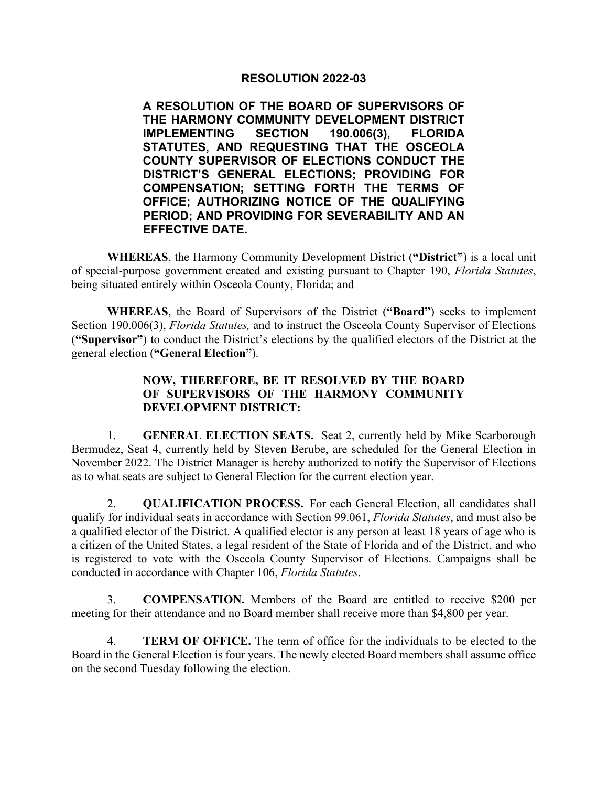## **RESOLUTION 2022-03**

**A RESOLUTION OF THE BOARD OF SUPERVISORS OF THE HARMONY COMMUNITY DEVELOPMENT DISTRICT IMPLEMENTING SECTION 190.006(3), FLORIDA STATUTES, AND REQUESTING THAT THE OSCEOLA COUNTY SUPERVISOR OF ELECTIONS CONDUCT THE DISTRICT'S GENERAL ELECTIONS; PROVIDING FOR COMPENSATION; SETTING FORTH THE TERMS OF OFFICE; AUTHORIZING NOTICE OF THE QUALIFYING PERIOD; AND PROVIDING FOR SEVERABILITY AND AN EFFECTIVE DATE.**

**WHEREAS**, the Harmony Community Development District (**"District"**) is a local unit of special-purpose government created and existing pursuant to Chapter 190, *Florida Statutes*, being situated entirely within Osceola County, Florida; and

**WHEREAS**, the Board of Supervisors of the District (**"Board"**) seeks to implement Section 190.006(3), *Florida Statutes,* and to instruct the Osceola County Supervisor of Elections (**"Supervisor"**) to conduct the District's elections by the qualified electors of the District at the general election (**"General Election"**).

## **NOW, THEREFORE, BE IT RESOLVED BY THE BOARD OF SUPERVISORS OF THE HARMONY COMMUNITY DEVELOPMENT DISTRICT:**

1. **GENERAL ELECTION SEATS.** Seat 2, currently held by Mike Scarborough Bermudez, Seat 4, currently held by Steven Berube, are scheduled for the General Election in November 2022. The District Manager is hereby authorized to notify the Supervisor of Elections as to what seats are subject to General Election for the current election year.

2. **QUALIFICATION PROCESS.** For each General Election, all candidates shall qualify for individual seats in accordance with Section 99.061, *Florida Statutes*, and must also be a qualified elector of the District. A qualified elector is any person at least 18 years of age who is a citizen of the United States, a legal resident of the State of Florida and of the District, and who is registered to vote with the Osceola County Supervisor of Elections. Campaigns shall be conducted in accordance with Chapter 106, *Florida Statutes*.

3. **COMPENSATION.** Members of the Board are entitled to receive \$200 per meeting for their attendance and no Board member shall receive more than \$4,800 per year.

4. **TERM OF OFFICE.** The term of office for the individuals to be elected to the Board in the General Election is four years. The newly elected Board members shall assume office on the second Tuesday following the election.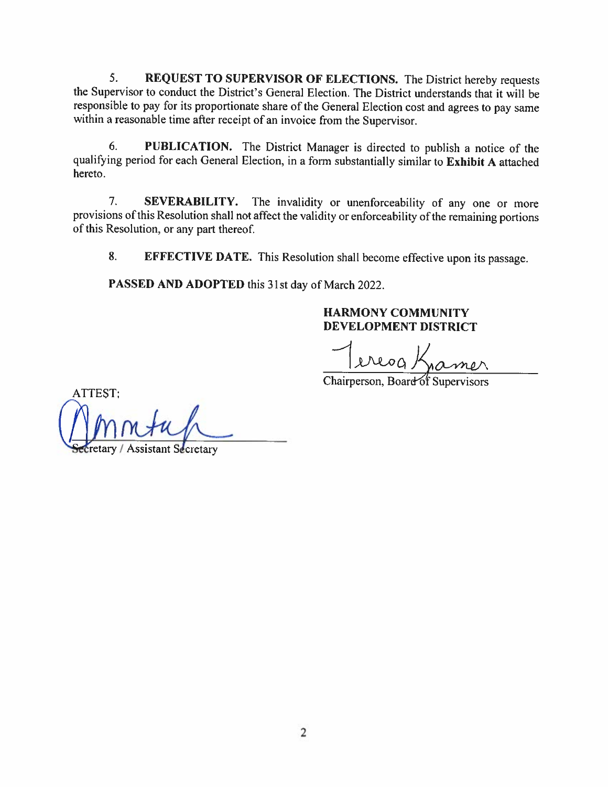5. **REQUEST TO SUPERVISOR OF ELECTIONS.** The District hereby requests the Supervisor to conduct the District's General Election. The District understands that it will be responsible to pay for its proportionate share of the General Election cost and agrees to pay same within a reasonable time after receipt of an invoice from the Supervisor.

6. **PUBLICATION.** The District Manager is directed to publish a notice of the qualifying period for each General Election, in a form substantially similar to **Exhibit** A attached hereto.

7. **SEVERABILITY.** The invalidity or unenforceability of any one or more provisions of this Resolution shall not affect the validity or enforceability of the remaining portions of this Resolution, or any part thereof.

8. **EFFECTIVE DA TE.** This Resolution shall become effective upon its passage.

**PASSED AND ADOPTED** this 31st day of March 2022.

**HARMONY COMMUNITY DEVELOPMENT DISTRICT** 

ereog,

Chairperson, Board of Supervisors

ATTEST: etary / Assistant Secretary